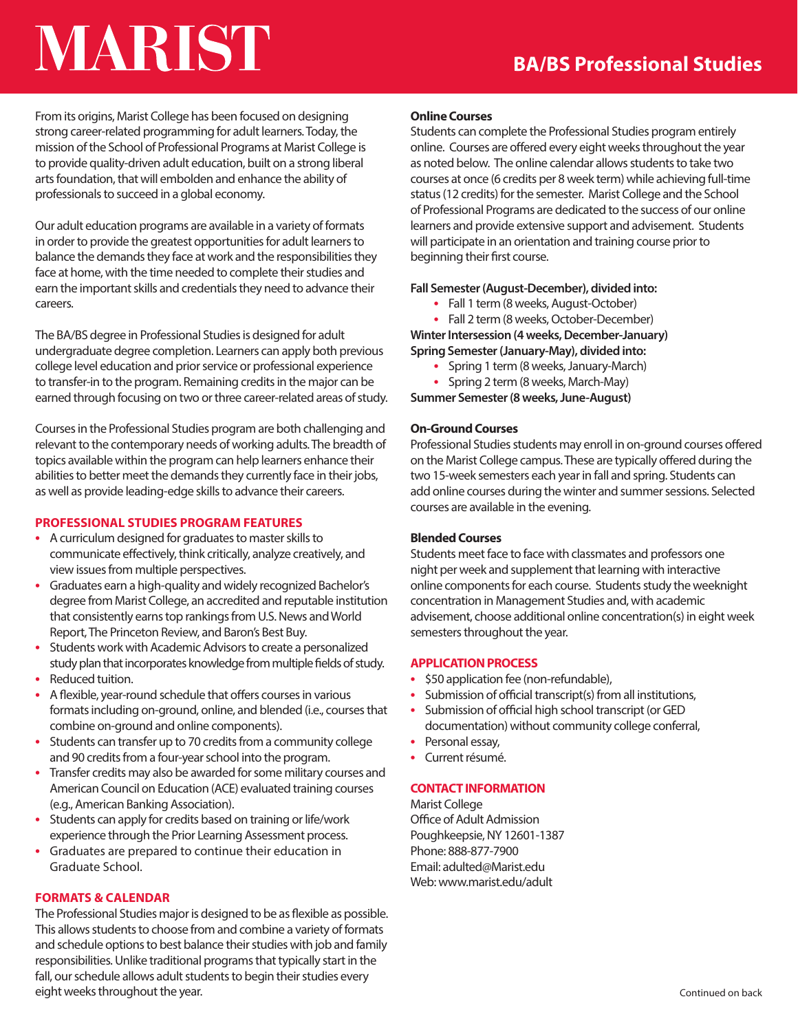# MARIST

From its origins, Marist College has been focused on designing strong career-related programming for adult learners. Today, the mission of the School of Professional Programs at Marist College is to provide quality-driven adult education, built on a strong liberal arts foundation, that will embolden and enhance the ability of professionals to succeed in a global economy.

Our adult education programs are available in a variety of formats in order to provide the greatest opportunities for adult learners to balance the demands they face at work and the responsibilities they face at home, with the time needed to complete their studies and earn the important skills and credentials they need to advance their careers.

The BA/BS degree in Professional Studies is designed for adult undergraduate degree completion. Learners can apply both previous college level education and prior service or professional experience to transfer-in to the program. Remaining credits in the major can be earned through focusing on two or three career-related areas of study.

Courses in the Professional Studies program are both challenging and relevant to the contemporary needs of working adults. The breadth of topics available within the program can help learners enhance their abilities to better meet the demands they currently face in their jobs, as well as provide leading-edge skills to advance their careers.

# **PROFESSIONAL STUDIES PROGRAM FEATURES**

- A curriculum designed for graduates to master skills to communicate effectively, think critically, analyze creatively, and view issues from multiple perspectives.
- Graduates earn a high-quality and widely recognized Bachelor's degree from Marist College, an accredited and reputable institution that consistently earns top rankings from U.S. News and World Report, The Princeton Review, and Baron's Best Buy.
- Students work with Academic Advisors to create a personalized study plan that incorporates knowledge from multiple fields of study.
- Reduced tuition.
- A flexible, year-round schedule that offers courses in various formats including on-ground, online, and blended (i.e., courses that combine on-ground and online components).
- Students can transfer up to 70 credits from a community college and 90 credits from a four-year school into the program.
- Transfer credits may also be awarded for some military courses and American Council on Education (ACE) evaluated training courses (e.g., American Banking Association).
- Students can apply for credits based on training or life/work experience through the Prior Learning Assessment process.
- Graduates are prepared to continue their education in Graduate School.

# **FORMATS & CALENDAR**

The Professional Studies major is designed to be as flexible as possible. This allows students to choose from and combine a variety of formats and schedule options to best balance their studies with job and family responsibilities. Unlike traditional programs that typically start in the fall, our schedule allows adult students to begin their studies every eight weeks throughout the year.

## **Online Courses**

Students can complete the Professional Studies program entirely online. Courses are offered every eight weeks throughout the year as noted below. The online calendar allows students to take two courses at once (6 credits per 8 week term) while achieving full-time status (12 credits) for the semester. Marist College and the School of Professional Programs are dedicated to the success of our online learners and provide extensive support and advisement. Students will participate in an orientation and training course prior to beginning their first course.

## **Fall Semester (August-December), divided into:**

- Fall 1 term (8 weeks, August-October)
- Fall 2 term (8 weeks, October-December)

**Winter Intersession (4 weeks, December-January) Spring Semester (January-May), divided into:**

- Spring 1 term (8 weeks, January-March)
- Spring 2 term (8 weeks, March-May)

**Summer Semester (8 weeks, June-August)** 

# **On-Ground Courses**

Professional Studies students may enroll in on-ground courses offered on the Marist College campus. These are typically offered during the two 15-week semesters each year in fall and spring. Students can add online courses during the winter and summer sessions. Selected courses are available in the evening.

# **Blended Courses**

Students meet face to face with classmates and professors one night per week and supplement that learning with interactive online components for each course. Students study the weeknight concentration in Management Studies and, with academic advisement, choose additional online concentration(s) in eight week semesters throughout the year.

# **APPLICATION PROCESS**

- \$50 application fee (non-refundable),
- Submission of official transcript(s) from all institutions,
- Submission of official high school transcript (or GED documentation) without community college conferral,
- Personal essay,
- Current résumé.

# **CONTACT INFORMATION**

Marist College Office of Adult Admission Poughkeepsie, NY 12601-1387 Phone: 888-877-7900 Email: adulted@Marist.edu Web: www.marist.edu/adult